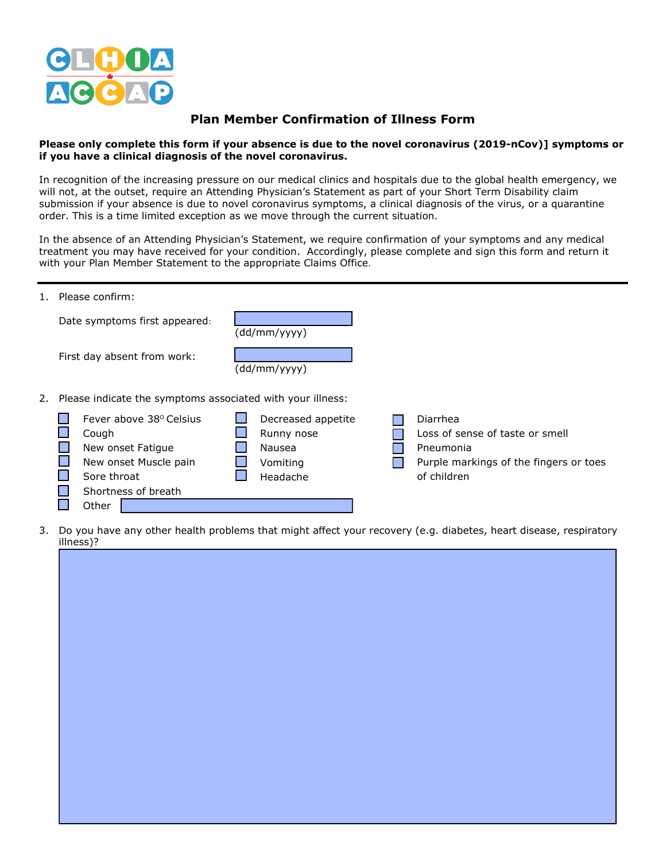

## **Plan Member Confirmation of Illness Form**

## **Please only complete this form if your absence is due to the novel coronavirus (2019-nCov)] symptoms or if you have a clinical diagnosis of the novel coronavirus.**

In recognition of the increasing pressure on our medical clinics and hospitals due to the global health emergency, we will not, at the outset, require an Attending Physician's Statement as part of your Short Term Disability claim submission if your absence is due to novel coronavirus symptoms, a clinical diagnosis of the virus, or a quarantine order. This is a time limited exception as we move through the current situation.

In the absence of an Attending Physician's Statement, we require confirmation of your symptoms and any medical treatment you may have received for your condition. Accordingly, please complete and sign this form and return it with your Plan Member Statement to the appropriate Claims Office.

| 1. Please confirm:                                                                                                            |                                                                    |                                                                                                                   |  |  |
|-------------------------------------------------------------------------------------------------------------------------------|--------------------------------------------------------------------|-------------------------------------------------------------------------------------------------------------------|--|--|
| Date symptoms first appeared:                                                                                                 | (dd/mm/yyyy)                                                       |                                                                                                                   |  |  |
| First day absent from work:                                                                                                   | (dd/mm/yyyy)                                                       |                                                                                                                   |  |  |
| 2. Please indicate the symptoms associated with your illness:                                                                 |                                                                    |                                                                                                                   |  |  |
| Fever above 38° Celsius<br>Cough<br>New onset Fatigue<br>New onset Muscle pain<br>Sore throat<br>Shortness of breath<br>Other | Decreased appetite<br>Runny nose<br>Nausea<br>Vomiting<br>Headache | Diarrhea<br>Loss of sense of taste or smell<br>Pneumonia<br>Purple markings of the fingers or toes<br>of children |  |  |

3. Do you have any other health problems that might affect your recovery (e.g. diabetes, heart disease, respiratory illness)?